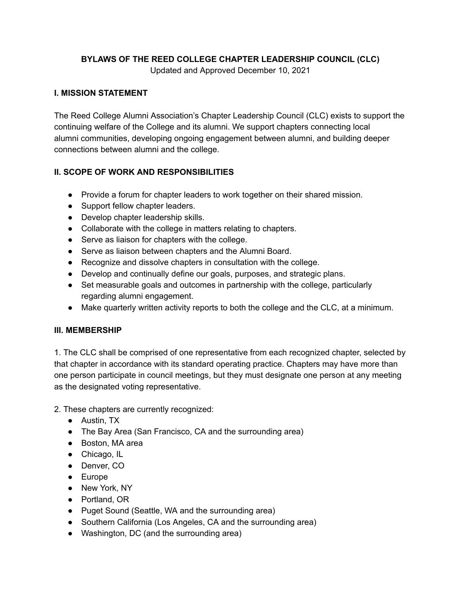#### **BYLAWS OF THE REED COLLEGE CHAPTER LEADERSHIP COUNCIL (CLC)**

Updated and Approved December 10, 2021

#### **I. MISSION STATEMENT**

The Reed College Alumni Association's Chapter Leadership Council (CLC) exists to support the continuing welfare of the College and its alumni. We support chapters connecting local alumni communities, developing ongoing engagement between alumni, and building deeper connections between alumni and the college.

## **II. SCOPE OF WORK AND RESPONSIBILITIES**

- Provide a forum for chapter leaders to work together on their shared mission.
- Support fellow chapter leaders.
- Develop chapter leadership skills.
- Collaborate with the college in matters relating to chapters.
- Serve as liaison for chapters with the college.
- Serve as liaison between chapters and the Alumni Board.
- Recognize and dissolve chapters in consultation with the college.
- Develop and continually define our goals, purposes, and strategic plans.
- Set measurable goals and outcomes in partnership with the college, particularly regarding alumni engagement.
- Make quarterly written activity reports to both the college and the CLC, at a minimum.

#### **III. MEMBERSHIP**

1. The CLC shall be comprised of one representative from each recognized chapter, selected by that chapter in accordance with its standard operating practice. Chapters may have more than one person participate in council meetings, but they must designate one person at any meeting as the designated voting representative.

2. These chapters are currently recognized:

- Austin, TX
- The Bay Area (San Francisco, CA and the surrounding area)
- Boston, MA area
- Chicago, IL
- Denver, CO
- Europe
- New York, NY
- Portland, OR
- Puget Sound (Seattle, WA and the surrounding area)
- Southern California (Los Angeles, CA and the surrounding area)
- Washington, DC (and the surrounding area)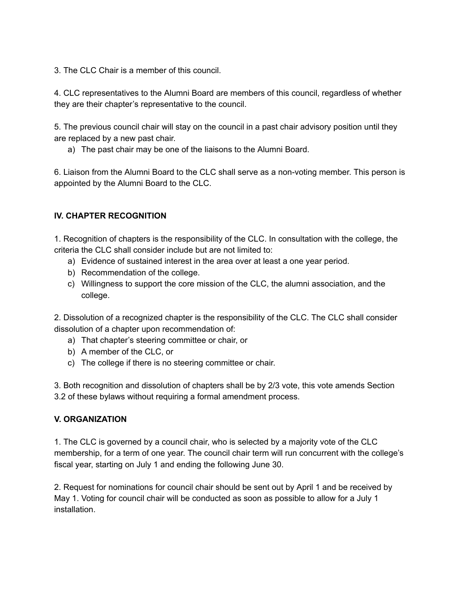3. The CLC Chair is a member of this council.

4. CLC representatives to the Alumni Board are members of this council, regardless of whether they are their chapter's representative to the council.

5. The previous council chair will stay on the council in a past chair advisory position until they are replaced by a new past chair.

a) The past chair may be one of the liaisons to the Alumni Board.

6. Liaison from the Alumni Board to the CLC shall serve as a non-voting member. This person is appointed by the Alumni Board to the CLC.

## **IV. CHAPTER RECOGNITION**

1. Recognition of chapters is the responsibility of the CLC. In consultation with the college, the criteria the CLC shall consider include but are not limited to:

- a) Evidence of sustained interest in the area over at least a one year period.
- b) Recommendation of the college.
- c) Willingness to support the core mission of the CLC, the alumni association, and the college.

2. Dissolution of a recognized chapter is the responsibility of the CLC. The CLC shall consider dissolution of a chapter upon recommendation of:

- a) That chapter's steering committee or chair, or
- b) A member of the CLC, or
- c) The college if there is no steering committee or chair.

3. Both recognition and dissolution of chapters shall be by 2/3 vote, this vote amends Section 3.2 of these bylaws without requiring a formal amendment process.

#### **V. ORGANIZATION**

1. The CLC is governed by a council chair, who is selected by a majority vote of the CLC membership, for a term of one year. The council chair term will run concurrent with the college's fiscal year, starting on July 1 and ending the following June 30.

2. Request for nominations for council chair should be sent out by April 1 and be received by May 1. Voting for council chair will be conducted as soon as possible to allow for a July 1 installation.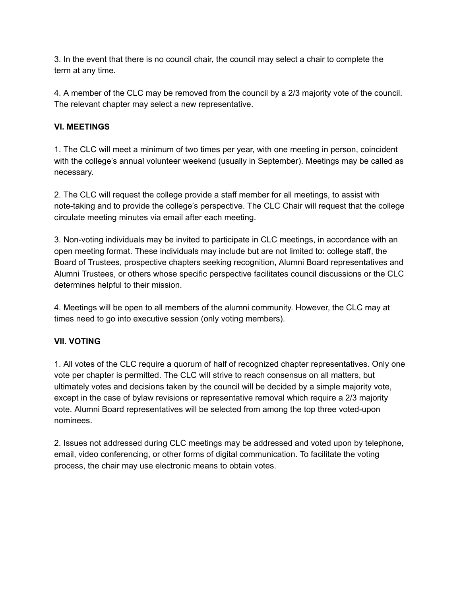3. In the event that there is no council chair, the council may select a chair to complete the term at any time.

4. A member of the CLC may be removed from the council by a 2/3 majority vote of the council. The relevant chapter may select a new representative.

## **VI. MEETINGS**

1. The CLC will meet a minimum of two times per year, with one meeting in person, coincident with the college's annual volunteer weekend (usually in September). Meetings may be called as necessary.

2. The CLC will request the college provide a staff member for all meetings, to assist with note-taking and to provide the college's perspective. The CLC Chair will request that the college circulate meeting minutes via email after each meeting.

3. Non-voting individuals may be invited to participate in CLC meetings, in accordance with an open meeting format. These individuals may include but are not limited to: college staff, the Board of Trustees, prospective chapters seeking recognition, Alumni Board representatives and Alumni Trustees, or others whose specific perspective facilitates council discussions or the CLC determines helpful to their mission.

4. Meetings will be open to all members of the alumni community. However, the CLC may at times need to go into executive session (only voting members).

#### **VII. VOTING**

1. All votes of the CLC require a quorum of half of recognized chapter representatives. Only one vote per chapter is permitted. The CLC will strive to reach consensus on all matters, but ultimately votes and decisions taken by the council will be decided by a simple majority vote, except in the case of bylaw revisions or representative removal which require a 2/3 majority vote. Alumni Board representatives will be selected from among the top three voted-upon nominees.

2. Issues not addressed during CLC meetings may be addressed and voted upon by telephone, email, video conferencing, or other forms of digital communication. To facilitate the voting process, the chair may use electronic means to obtain votes.